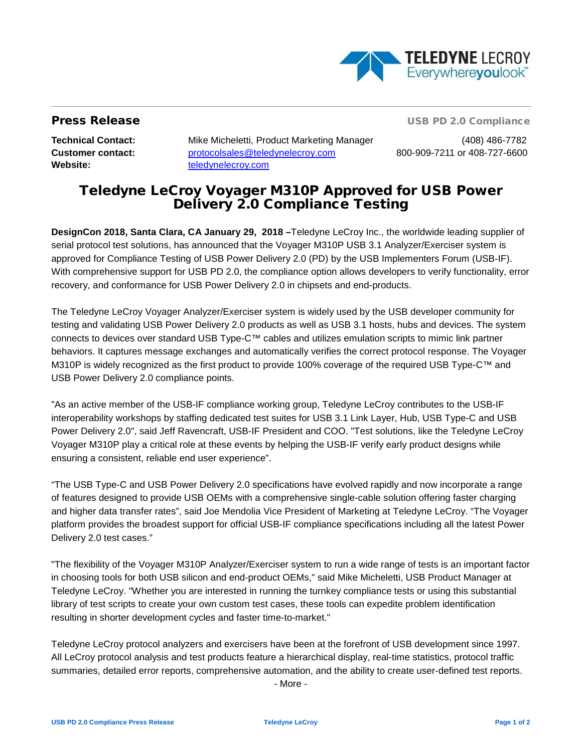

**Press Release USB PD 2.0 Compliance** 

**Website:** [teledynelecroy.com](http://teledynelecroy.com/)

**Technical Contact:** Mike Micheletti, Product Marketing Manager (408) 486-7782 **Customer contact:** [protocolsales@teledynelecroy.com](mailto:protocolsales@teledynelecroy.com) 800-909-7211 or 408-727-6600

# Teledyne LeCroy Voyager M310P Approved for USB Power Delivery 2.0 Compliance Testing

**DesignCon 2018, Santa Clara, CA January 29, 2018 –**Teledyne LeCroy Inc., the worldwide leading supplier of serial protocol test solutions, has announced that the Voyager M310P USB 3.1 Analyzer/Exerciser system is approved for Compliance Testing of USB Power Delivery 2.0 (PD) by the USB Implementers Forum (USB-IF). With comprehensive support for USB PD 2.0, the compliance option allows developers to verify functionality, error recovery, and conformance for USB Power Delivery 2.0 in chipsets and end-products.

The Teledyne LeCroy Voyager Analyzer/Exerciser system is widely used by the USB developer community for testing and validating USB Power Delivery 2.0 products as well as USB 3.1 hosts, hubs and devices. The system connects to devices over standard USB Type-C™ cables and utilizes emulation scripts to mimic link partner behaviors. It captures message exchanges and automatically verifies the correct protocol response. The Voyager M310P is widely recognized as the first product to provide 100% coverage of the required USB Type-C™ and USB Power Delivery 2.0 compliance points.

"As an active member of the USB-IF compliance working group, Teledyne LeCroy contributes to the USB-IF interoperability workshops by staffing dedicated test suites for USB 3.1 Link Layer, Hub, USB Type-C and USB Power Delivery 2.0", said Jeff Ravencraft, USB-IF President and COO. "Test solutions, like the Teledyne LeCroy Voyager M310P play a critical role at these events by helping the USB-IF verify early product designs while ensuring a consistent, reliable end user experience".

"The USB Type-C and USB Power Delivery 2.0 specifications have evolved rapidly and now incorporate a range of features designed to provide USB OEMs with a comprehensive single-cable solution offering faster charging and higher data transfer rates", said Joe Mendolia Vice President of Marketing at Teledyne LeCroy. "The Voyager platform provides the broadest support for official USB-IF compliance specifications including all the latest Power Delivery 2.0 test cases."

"The flexibility of the Voyager M310P Analyzer/Exerciser system to run a wide range of tests is an important factor in choosing tools for both USB silicon and end-product OEMs," said Mike Micheletti, USB Product Manager at Teledyne LeCroy. "Whether you are interested in running the turnkey compliance tests or using this substantial library of test scripts to create your own custom test cases, these tools can expedite problem identification resulting in shorter development cycles and faster time-to-market."

Teledyne LeCroy protocol analyzers and exercisers have been at the forefront of USB development since 1997. All LeCroy protocol analysis and test products feature a hierarchical display, real-time statistics, protocol traffic summaries, detailed error reports, comprehensive automation, and the ability to create user-defined test reports.

- More -